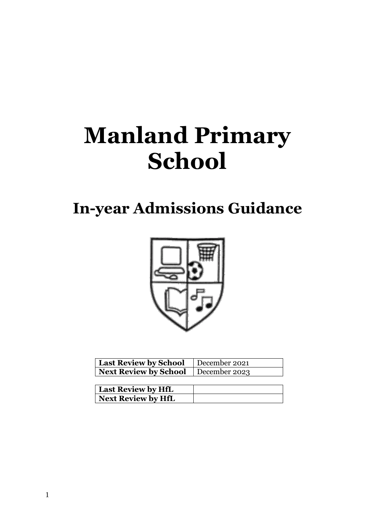# **Manland Primary School**

# **In-year Admissions Guidance**



| <b>Last Review by School</b>   December 2021 |  |
|----------------------------------------------|--|
| <b>Next Review by School</b>   December 2023 |  |

| <b>Last Review by HfL</b> |  |
|---------------------------|--|
| <b>Next Review by HfL</b> |  |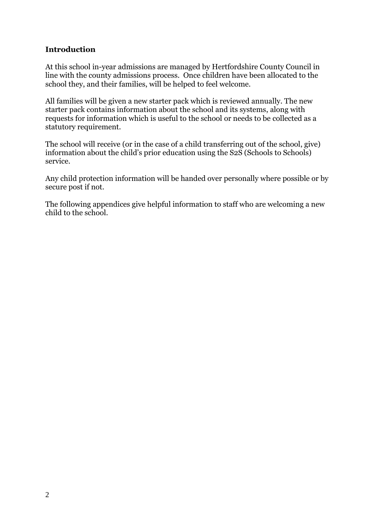#### **Introduction**

At this school in-year admissions are managed by Hertfordshire County Council in line with the county admissions process. Once children have been allocated to the school they, and their families, will be helped to feel welcome.

All families will be given a new starter pack which is reviewed annually. The new starter pack contains information about the school and its systems, along with requests for information which is useful to the school or needs to be collected as a statutory requirement.

The school will receive (or in the case of a child transferring out of the school, give) information about the child's prior education using the S2S (Schools to Schools) service.

Any child protection information will be handed over personally where possible or by secure post if not.

The following appendices give helpful information to staff who are welcoming a new child to the school.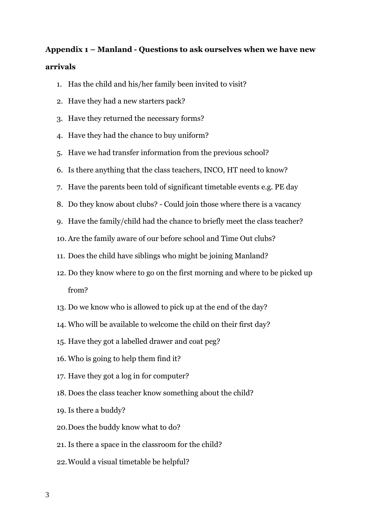## **Appendix 1 – Manland - Questions to ask ourselves when we have new arrivals**

- 1. Has the child and his/her family been invited to visit?
- 2. Have they had a new starters pack?
- 3. Have they returned the necessary forms?
- 4. Have they had the chance to buy uniform?
- 5. Have we had transfer information from the previous school?
- 6. Is there anything that the class teachers, INCO, HT need to know?
- 7. Have the parents been told of significant timetable events e.g. PE day
- 8. Do they know about clubs? Could join those where there is a vacancy
- 9. Have the family/child had the chance to briefly meet the class teacher?
- 10. Are the family aware of our before school and Time Out clubs?
- 11. Does the child have siblings who might be joining Manland?
- 12. Do they know where to go on the first morning and where to be picked up from?
- 13. Do we know who is allowed to pick up at the end of the day?
- 14. Who will be available to welcome the child on their first day?
- 15. Have they got a labelled drawer and coat peg?
- 16. Who is going to help them find it?
- 17. Have they got a log in for computer?
- 18. Does the class teacher know something about the child?
- 19. Is there a buddy?
- 20.Does the buddy know what to do?
- 21. Is there a space in the classroom for the child?
- 22.Would a visual timetable be helpful?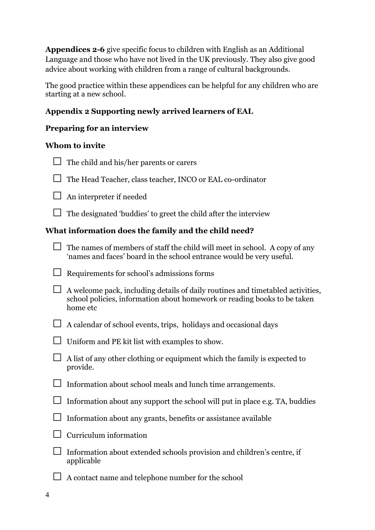**Appendices 2-6** give specific focus to children with English as an Additional Language and those who have not lived in the UK previously. They also give good advice about working with children from a range of cultural backgrounds.

The good practice within these appendices can be helpful for any children who are starting at a new school.

#### **Appendix 2 Supporting newly arrived learners of EAL**

#### **Preparing for an interview**

#### **Whom to invite**

| $\Box$ The child and his/her parents or carers |  |
|------------------------------------------------|--|

| $\Box$ The Head Teacher, class teacher, INCO or EAL co-ordinator |  |  |
|------------------------------------------------------------------|--|--|

 $\Box$  An interpreter if needed

 $\Box$  The designated 'buddies' to greet the child after the interview

#### **What information does the family and the child need?**

| $\Box$ The names of members of staff the child will meet in school. A copy of any |
|-----------------------------------------------------------------------------------|
| 'names and faces' board in the school entrance would be very useful.              |

| $\Box$ Requirements for school's admissions forms |
|---------------------------------------------------|

| $\Box$ A welcome pack, including details of daily routines and timetabled activities,<br>school policies, information about homework or reading books to be taken<br>home etc |
|-------------------------------------------------------------------------------------------------------------------------------------------------------------------------------|
|                                                                                                                                                                               |

|  | $\Box$ A calendar of school events, trips, holidays and occasional days |  |  |
|--|-------------------------------------------------------------------------|--|--|

| $\Box$ Uniform and PE kit list with examples to show. |
|-------------------------------------------------------|

 $\Box$  A list of any other clothing or equipment which the family is expected to provide.

| $\Box$ Information about school meals and lunch time arrangements. |
|--------------------------------------------------------------------|

| $\Box$ Information about any support the school will put in place e.g. TA, buddies |  |
|------------------------------------------------------------------------------------|--|

| $\Box$ Information about any grants, benefits or assistance available |  |
|-----------------------------------------------------------------------|--|

 $\Box$  Curriculum information

| $\Box$ Information about extended schools provision and children's centre, if |
|-------------------------------------------------------------------------------|
| applicable                                                                    |

 $\Box$  A contact name and telephone number for the school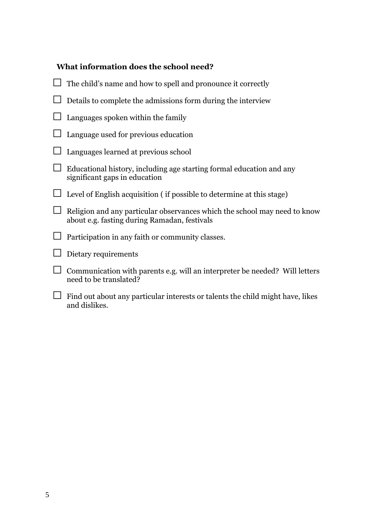#### **What information does the school need?**

| The child's name and how to spell and pronounce it correctly                                                              |
|---------------------------------------------------------------------------------------------------------------------------|
| Details to complete the admissions form during the interview                                                              |
| Languages spoken within the family                                                                                        |
| Language used for previous education                                                                                      |
| Languages learned at previous school                                                                                      |
| Educational history, including age starting formal education and any<br>significant gaps in education                     |
| Level of English acquisition (if possible to determine at this stage)                                                     |
| Religion and any particular observances which the school may need to know<br>about e.g. fasting during Ramadan, festivals |
| Participation in any faith or community classes.                                                                          |
| Dietary requirements                                                                                                      |
| Communication with parents e.g. will an interpreter be needed? Will letters<br>need to be translated?                     |
| Find out about any particular interests or talents the child might have, likes<br>and dislikes.                           |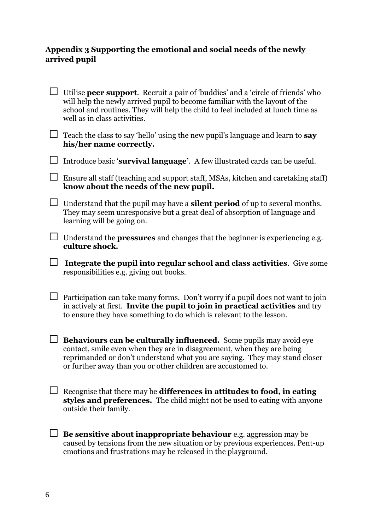#### **Appendix 3 Supporting the emotional and social needs of the newly arrived pupil**

|        | Utilise <b>peer support</b> . Recruit a pair of 'buddies' and a 'circle of friends' who<br>will help the newly arrived pupil to become familiar with the layout of the<br>school and routines. They will help the child to feel included at lunch time as<br>well as in class activities.          |
|--------|----------------------------------------------------------------------------------------------------------------------------------------------------------------------------------------------------------------------------------------------------------------------------------------------------|
|        | Teach the class to say 'hello' using the new pupil's language and learn to say<br>his/her name correctly.                                                                                                                                                                                          |
|        | Introduce basic 'survival language'. A few illustrated cards can be useful.                                                                                                                                                                                                                        |
|        | Ensure all staff (teaching and support staff, MSAs, kitchen and caretaking staff)<br>know about the needs of the new pupil.                                                                                                                                                                        |
| $\Box$ | Understand that the pupil may have a <b>silent period</b> of up to several months.<br>They may seem unresponsive but a great deal of absorption of language and<br>learning will be going on.                                                                                                      |
|        | Understand the <b>pressures</b> and changes that the beginner is experiencing e.g.<br>culture shock.                                                                                                                                                                                               |
|        | Integrate the pupil into regular school and class activities. Give some<br>responsibilities e.g. giving out books.                                                                                                                                                                                 |
|        | Participation can take many forms. Don't worry if a pupil does not want to join<br>in actively at first. Invite the pupil to join in practical activities and try<br>to ensure they have something to do which is relevant to the lesson.                                                          |
|        | <b>Behaviours can be culturally influenced.</b> Some pupils may avoid eye<br>contact, smile even when they are in disagreement, when they are being<br>reprimanded or don't understand what you are saying. They may stand closer<br>or further away than you or other children are accustomed to. |
|        | Recognise that there may be differences in attitudes to food, in eating<br>styles and preferences. The child might not be used to eating with anyone<br>outside their family.                                                                                                                      |
|        | Be sensitive about inappropriate behaviour e.g. aggression may be<br>caused by tensions from the new situation or by previous experiences. Pent-up<br>emotions and frustrations may be released in the playground.                                                                                 |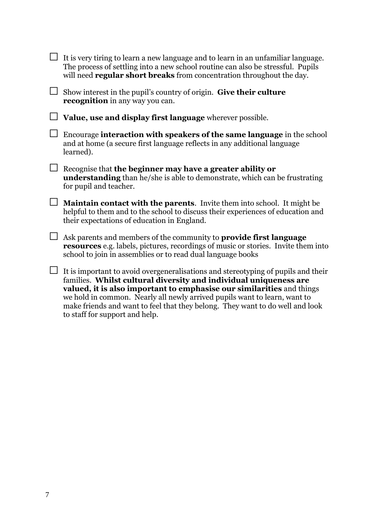|        | It is very tiring to learn a new language and to learn in an unfamiliar language.<br>The process of settling into a new school routine can also be stressful. Pupils<br>will need <b>regular short breaks</b> from concentration throughout the day.                                                         |
|--------|--------------------------------------------------------------------------------------------------------------------------------------------------------------------------------------------------------------------------------------------------------------------------------------------------------------|
| $\Box$ | Show interest in the pupil's country of origin. Give their culture<br><b>recognition</b> in any way you can.                                                                                                                                                                                                 |
|        | Value, use and display first language wherever possible.                                                                                                                                                                                                                                                     |
| $\Box$ | Encourage interaction with speakers of the same language in the school<br>and at home (a secure first language reflects in any additional language<br>learned).                                                                                                                                              |
|        | Recognise that the beginner may have a greater ability or<br>understanding than he/she is able to demonstrate, which can be frustrating<br>for pupil and teacher.                                                                                                                                            |
| $\Box$ | <b>Maintain contact with the parents.</b> Invite them into school. It might be<br>helpful to them and to the school to discuss their experiences of education and<br>their expectations of education in England.                                                                                             |
| $\Box$ | Ask parents and members of the community to <b>provide first language</b><br><b>resources</b> e.g. labels, pictures, recordings of music or stories. Invite them into<br>school to join in assemblies or to read dual language books                                                                         |
|        | It is important to avoid overgeneralisations and stereotyping of pupils and their<br>families. Whilst cultural diversity and individual uniqueness are<br>valued, it is also important to emphasise our similarities and things<br>we hold in common. Nearly all newly arrived pupils want to learn, want to |

we hold in common. Nearly all newly arrived pupils want to learn, want to make friends and want to feel that they belong. They want to do well and look to staff for support and help.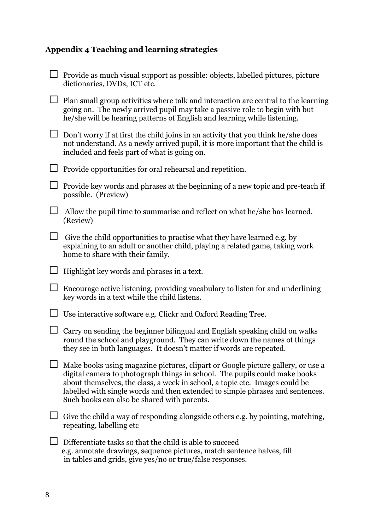# **Appendix 4 Teaching and learning strategies**

|        | Provide as much visual support as possible: objects, labelled pictures, picture<br>dictionaries, DVDs, ICT etc.                                                                                                                                                                                                                                                              |
|--------|------------------------------------------------------------------------------------------------------------------------------------------------------------------------------------------------------------------------------------------------------------------------------------------------------------------------------------------------------------------------------|
|        | Plan small group activities where talk and interaction are central to the learning<br>going on. The newly arrived pupil may take a passive role to begin with but<br>he/she will be hearing patterns of English and learning while listening.                                                                                                                                |
|        | Don't worry if at first the child joins in an activity that you think he/she does<br>not understand. As a newly arrived pupil, it is more important that the child is<br>included and feels part of what is going on.                                                                                                                                                        |
|        | Provide opportunities for oral rehearsal and repetition.                                                                                                                                                                                                                                                                                                                     |
|        | Provide key words and phrases at the beginning of a new topic and pre-teach if<br>possible. (Preview)                                                                                                                                                                                                                                                                        |
|        | Allow the pupil time to summarise and reflect on what he/she has learned.<br>(Review)                                                                                                                                                                                                                                                                                        |
| $\Box$ | Give the child opportunities to practise what they have learned e.g. by<br>explaining to an adult or another child, playing a related game, taking work<br>home to share with their family.                                                                                                                                                                                  |
|        | Highlight key words and phrases in a text.                                                                                                                                                                                                                                                                                                                                   |
|        | Encourage active listening, providing vocabulary to listen for and underlining<br>key words in a text while the child listens.                                                                                                                                                                                                                                               |
|        | Use interactive software e.g. Clickr and Oxford Reading Tree.                                                                                                                                                                                                                                                                                                                |
|        | Carry on sending the beginner bilingual and English speaking child on walks<br>round the school and playground. They can write down the names of things<br>they see in both languages. It doesn't matter if words are repeated.                                                                                                                                              |
|        | Make books using magazine pictures, clipart or Google picture gallery, or use a<br>digital camera to photograph things in school. The pupils could make books<br>about themselves, the class, a week in school, a topic etc. Images could be<br>labelled with single words and then extended to simple phrases and sentences.<br>Such books can also be shared with parents. |
|        | Give the child a way of responding alongside others e.g. by pointing, matching,<br>repeating, labelling etc                                                                                                                                                                                                                                                                  |
|        | Differentiate tasks so that the child is able to succeed<br>e.g. annotate drawings, sequence pictures, match sentence halves, fill<br>in tables and grids, give yes/no or true/false responses.                                                                                                                                                                              |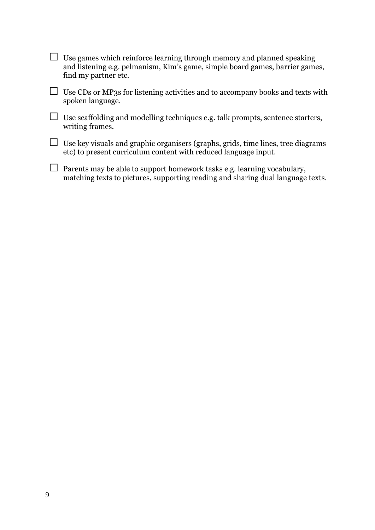| Use games which reinforce learning through memory and planned speaking<br>and listening e.g. pelmanism, Kim's game, simple board games, barrier games,<br>find my partner etc. |
|--------------------------------------------------------------------------------------------------------------------------------------------------------------------------------|
| Use CDs or MP3s for listening activities and to accompany books and texts with<br>spoken language.                                                                             |
| Use scaffolding and modelling techniques e.g. talk prompts, sentence starters,<br>writing frames.                                                                              |
| Use key visuals and graphic organisers (graphs, grids, time lines, tree diagrams<br>etc) to present curriculum content with reduced language input.                            |
| Parents may be able to support homework tasks e.g. learning vocabulary,<br>matching texts to pictures, supporting reading and sharing dual language texts.                     |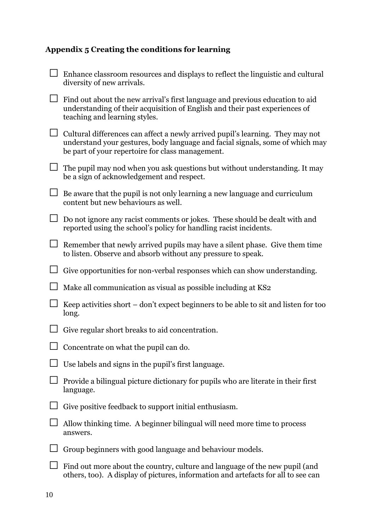### **Appendix 5 Creating the conditions for learning**

| Enhance classroom resources and displays to reflect the linguistic and cultural<br>diversity of new arrivals.                                                                                                       |
|---------------------------------------------------------------------------------------------------------------------------------------------------------------------------------------------------------------------|
| Find out about the new arrival's first language and previous education to aid<br>understanding of their acquisition of English and their past experiences of<br>teaching and learning styles.                       |
| Cultural differences can affect a newly arrived pupil's learning. They may not<br>understand your gestures, body language and facial signals, some of which may<br>be part of your repertoire for class management. |
| The pupil may nod when you ask questions but without understanding. It may<br>be a sign of acknowledgement and respect.                                                                                             |
| Be aware that the pupil is not only learning a new language and curriculum<br>content but new behaviours as well.                                                                                                   |
| Do not ignore any racist comments or jokes. These should be dealt with and<br>reported using the school's policy for handling racist incidents.                                                                     |
| Remember that newly arrived pupils may have a silent phase. Give them time<br>to listen. Observe and absorb without any pressure to speak.                                                                          |
| Give opportunities for non-verbal responses which can show understanding.                                                                                                                                           |
| Make all communication as visual as possible including at KS2                                                                                                                                                       |
| Keep activities short – don't expect beginners to be able to sit and listen for too<br>long.                                                                                                                        |
| Give regular short breaks to aid concentration.                                                                                                                                                                     |
| $\Box$ Concentrate on what the pupil can do.                                                                                                                                                                        |
| Use labels and signs in the pupil's first language.                                                                                                                                                                 |
| Provide a bilingual picture dictionary for pupils who are literate in their first<br>language.                                                                                                                      |
| Give positive feedback to support initial enthusiasm.                                                                                                                                                               |
| Allow thinking time. A beginner bilingual will need more time to process<br>answers.                                                                                                                                |
| Group beginners with good language and behaviour models.                                                                                                                                                            |
| Find out more about the country, culture and language of the new pupil (and<br>others, too). A display of pictures, information and artefacts for all to see can                                                    |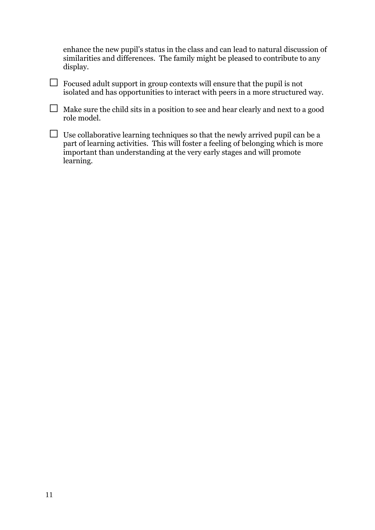enhance the new pupil's status in the class and can lead to natural discussion of similarities and differences. The family might be pleased to contribute to any display.

 $\Box$  Focused adult support in group contexts will ensure that the pupil is not isolated and has opportunities to interact with peers in a more structured way.

 $\Box$  Make sure the child sits in a position to see and hear clearly and next to a good role model.

 $\Box$  Use collaborative learning techniques so that the newly arrived pupil can be a part of learning activities. This will foster a feeling of belonging which is more important than understanding at the very early stages and will promote learning.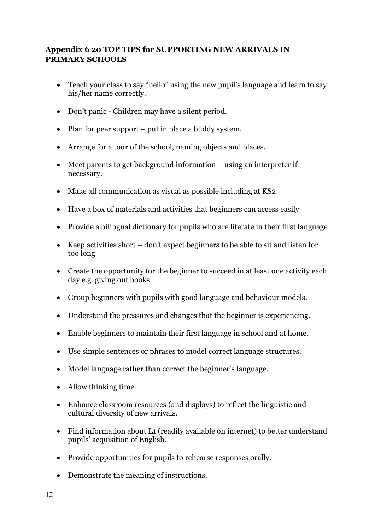#### **Appendix 6 20 TOP TIPS for SUPPORTING NEW ARRIVALS IN PRIMARY SCHOOLS**

- Teach your class to say "hello" using the new pupil's language and learn to say his/her name correctly.
- Don't panic Children may have a silent period.
- Plan for peer support put in place a buddy system.
- Arrange for a tour of the school, naming objects and places.
- Meet parents to get background information using an interpreter if necessary.
- Make all communication as visual as possible including at KS2
- Have a box of materials and activities that beginners can access easily
- Provide a bilingual dictionary for pupils who are literate in their first language
- Keep activities short don't expect beginners to be able to sit and listen for too long
- Create the opportunity for the beginner to succeed in at least one activity each day e.g. giving out books.
- Group beginners with pupils with good language and behaviour models.
- Understand the pressures and changes that the beginner is experiencing.
- Enable beginners to maintain their first language in school and at home.
- Use simple sentences or phrases to model correct language structures.
- Model language rather than correct the beginner's language.
- Allow thinking time.
- Enhance classroom resources (and displays) to reflect the linguistic and cultural diversity of new arrivals.
- Find information about L1 (readily available on internet) to better understand pupils' acquisition of English.
- Provide opportunities for pupils to rehearse responses orally.
- Demonstrate the meaning of instructions.